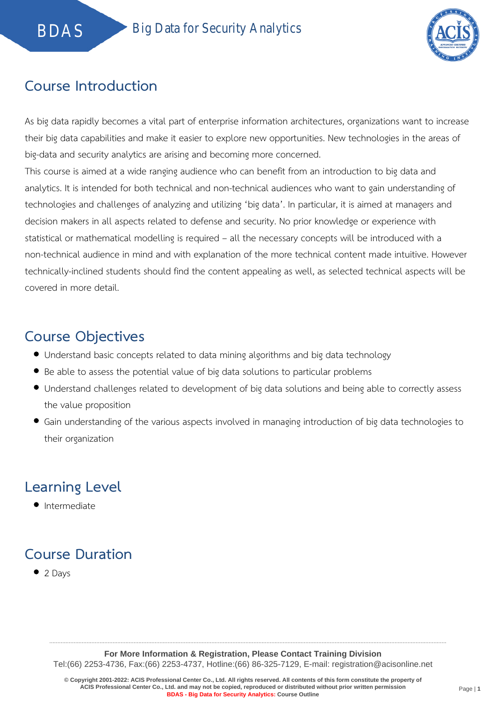

### **Course Introduction**

As big data rapidly becomes a vital part of enterprise information architectures, organizations want to increase their big data capabilities and make it easier to explore new opportunities. New technologies in the areas of big-data and security analytics are arising and becoming more concerned.

This course is aimed at a wide ranging audience who can benefit from an introduction to big data and analytics. It is intended for both technical and non-technical audiences who want to gain understanding of technologies and challenges of analyzing and utilizing 'big data'. In particular, it is aimed at managers and decision makers in all aspects related to defense and security. No prior knowledge or experience with statistical or mathematical modelling is required – all the necessary concepts will be introduced with a non-technical audience in mind and with explanation of the more technical content made intuitive. However technically-inclined students should find the content appealing as well, as selected technical aspects will be covered in more detail.

#### **Course Objectives**

- Understand basic concepts related to data mining algorithms and big data technology
- Be able to assess the potential value of big data solutions to particular problems
- Understand challenges related to development of big data solutions and being able to correctly assess the value proposition
- Gain understanding of the various aspects involved in managing introduction of big data technologies to their organization

## **Learning Level**

**•** Intermediate

# **Course Duration**

 $\bullet$  2 Days

.....................................................................................................................................................................................................................................................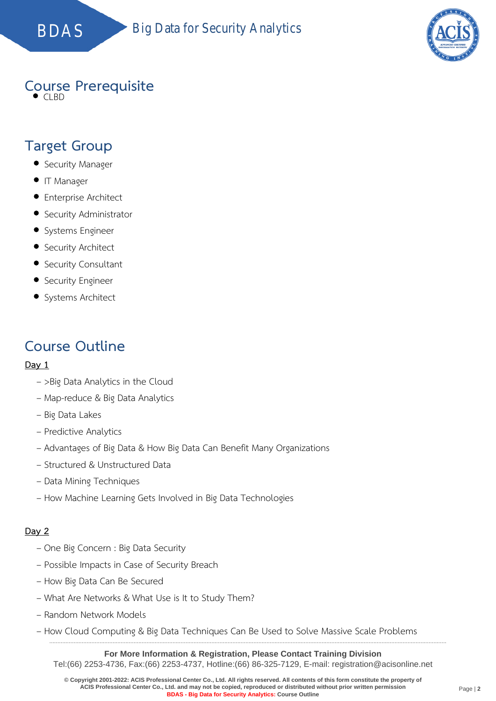BDAS Big Data for Security Analytics



#### **Course Prerequisite**

 $\bullet$  CLBD

#### **Target Group**

- Security Manager
- **IT Manager**
- **•** Enterprise Architect
- Security Administrator
- Systems Engineer
- Security Architect
- Security Consultant
- **•** Security Engineer
- Systems Architect

#### **Course Outline**

#### **Day 1**

- >Big Data Analytics in the Cloud
- Map-reduce & Big Data Analytics
- Big Data Lakes
- Predictive Analytics
- Advantages of Big Data & How Big Data Can Benefit Many Organizations
- Structured & Unstructured Data
- Data Mining Techniques
- How Machine Learning Gets Involved in Big Data Technologies

#### **Day 2**

- One Big Concern : Big Data Security
- Possible Impacts in Case of Security Breach
- How Big Data Can Be Secured
- What Are Networks & What Use is It to Study Them?
- Random Network Models
- How Cloud Computing & Big Data Techniques Can Be Used to Solve Massive Scale Problems

**For More Information & Registration, Please Contact Training Division** Tel:(66) 2253-4736, Fax:(66) 2253-4737, Hotline:(66) 86-325-7129, E-mail: registration@acisonline.net

.....................................................................................................................................................................................................................................................

**© Copyright 2001-2022: ACIS Professional Center Co., Ltd. All rights reserved. All contents of this form constitute the property of ACIS Professional Center Co., Ltd. and may not be copied, reproduced or distributed without prior written permission BDAS - Big Data for Security Analytics: Course Outline**